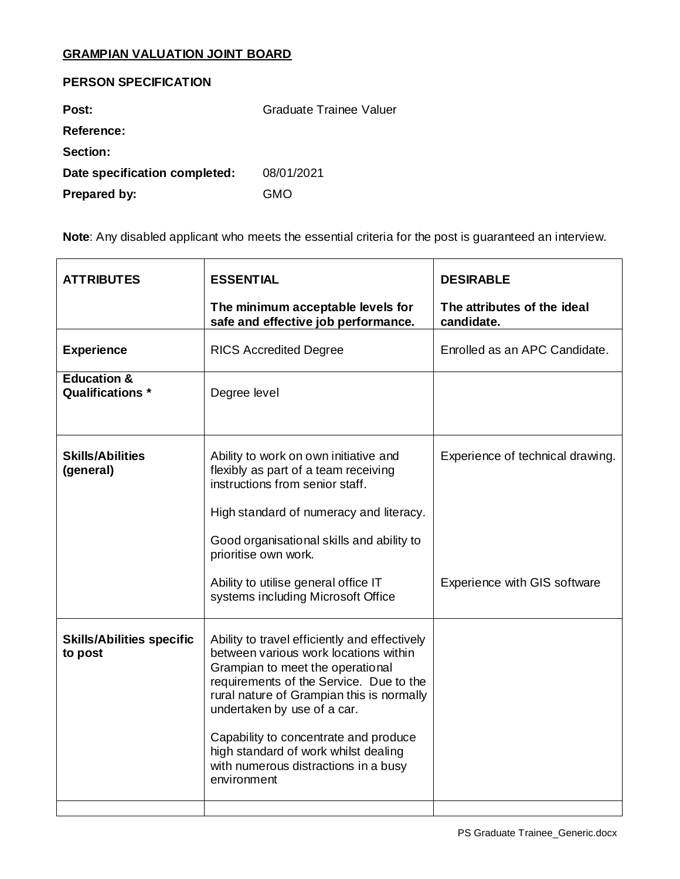## **GRAMPIAN VALUATION JOINT BOARD**

## **PERSON SPECIFICATION**

| Post:                         | Graduate Trainee Valuer |
|-------------------------------|-------------------------|
| <b>Reference:</b>             |                         |
| <b>Section:</b>               |                         |
| Date specification completed: | 08/01/2021              |
| Prepared by:                  | GMO                     |

**Note**: Any disabled applicant who meets the essential criteria for the post is guaranteed an interview.

| <b>ATTRIBUTES</b>                           | <b>ESSENTIAL</b>                                                                                                                                                                                                                                                                                                                                                                          | <b>DESIRABLE</b>                          |
|---------------------------------------------|-------------------------------------------------------------------------------------------------------------------------------------------------------------------------------------------------------------------------------------------------------------------------------------------------------------------------------------------------------------------------------------------|-------------------------------------------|
|                                             | The minimum acceptable levels for<br>safe and effective job performance.                                                                                                                                                                                                                                                                                                                  | The attributes of the ideal<br>candidate. |
| <b>Experience</b>                           | <b>RICS Accredited Degree</b>                                                                                                                                                                                                                                                                                                                                                             | Enrolled as an APC Candidate.             |
| <b>Education &amp;</b><br>Qualifications *  | Degree level                                                                                                                                                                                                                                                                                                                                                                              |                                           |
| <b>Skills/Abilities</b><br>(general)        | Ability to work on own initiative and<br>flexibly as part of a team receiving<br>instructions from senior staff.                                                                                                                                                                                                                                                                          | Experience of technical drawing.          |
|                                             | High standard of numeracy and literacy.                                                                                                                                                                                                                                                                                                                                                   |                                           |
|                                             | Good organisational skills and ability to<br>prioritise own work.                                                                                                                                                                                                                                                                                                                         |                                           |
|                                             | Ability to utilise general office IT<br>systems including Microsoft Office                                                                                                                                                                                                                                                                                                                | Experience with GIS software              |
| <b>Skills/Abilities specific</b><br>to post | Ability to travel efficiently and effectively<br>between various work locations within<br>Grampian to meet the operational<br>requirements of the Service. Due to the<br>rural nature of Grampian this is normally<br>undertaken by use of a car.<br>Capability to concentrate and produce<br>high standard of work whilst dealing<br>with numerous distractions in a busy<br>environment |                                           |
|                                             |                                                                                                                                                                                                                                                                                                                                                                                           |                                           |